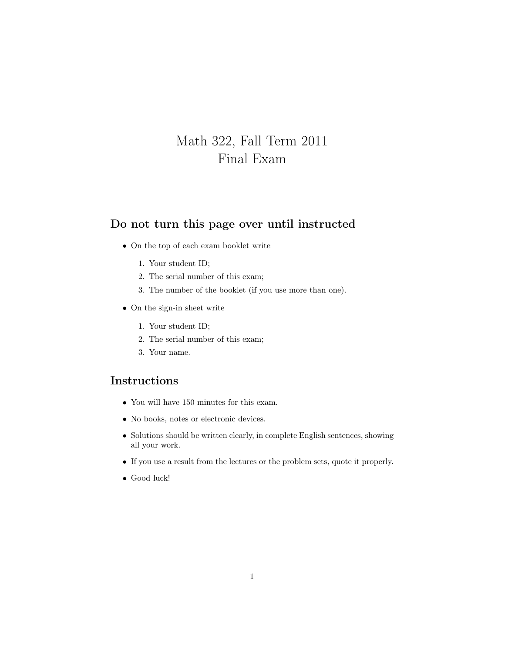## Math 322, Fall Term 2011 Final Exam

## Do not turn this page over until instructed

- On the top of each exam booklet write
	- 1. Your student ID;
	- 2. The serial number of this exam;
	- 3. The number of the booklet (if you use more than one).
- On the sign-in sheet write
	- 1. Your student ID;
	- 2. The serial number of this exam;
	- 3. Your name.

## Instructions

- You will have 150 minutes for this exam.
- No books, notes or electronic devices.
- Solutions should be written clearly, in complete English sentences, showing all your work.
- If you use a result from the lectures or the problem sets, quote it properly.
- Good luck!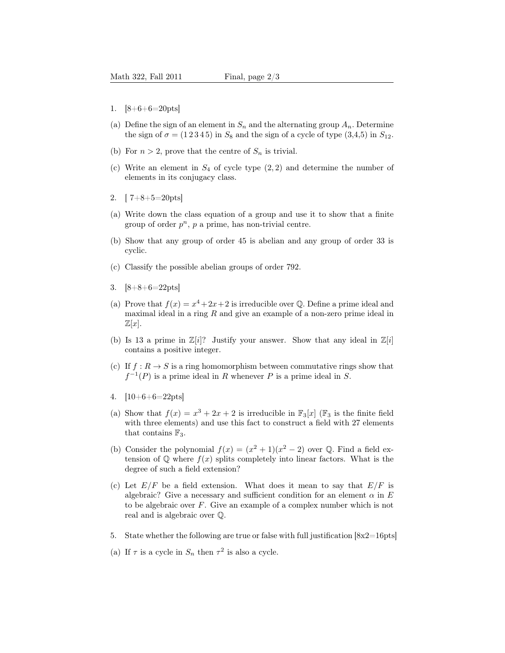- 1. [8+6+6=20pts]
- (a) Define the sign of an element in  $S_n$  and the alternating group  $A_n$ . Determine the sign of  $\sigma = (1\,2\,3\,4\,5)$  in  $S_8$  and the sign of a cycle of type  $(3,4,5)$  in  $S_{12}$ .
- (b) For  $n > 2$ , prove that the centre of  $S_n$  is trivial.
- (c) Write an element in  $S_4$  of cycle type  $(2, 2)$  and determine the number of elements in its conjugacy class.
- 2.  $[7+8+5=20 \text{pts}]$
- (a) Write down the class equation of a group and use it to show that a finite group of order  $p^n$ ,  $p$  a prime, has non-trivial centre.
- (b) Show that any group of order 45 is abelian and any group of order 33 is cyclic.
- (c) Classify the possible abelian groups of order 792.
- 3. [8+8+6=22pts]
- (a) Prove that  $f(x) = x^4 + 2x + 2$  is irreducible over Q. Define a prime ideal and maximal ideal in a ring  $R$  and give an example of a non-zero prime ideal in  $\mathbb{Z}[x]$ .
- (b) Is 13 a prime in  $\mathbb{Z}[i]$ ? Justify your answer. Show that any ideal in  $\mathbb{Z}[i]$ contains a positive integer.
- (c) If  $f : R \to S$  is a ring homomorphism between commutative rings show that  $f^{-1}(P)$  is a prime ideal in R whenever P is a prime ideal in S.
- 4. [10+6+6=22pts]
- (a) Show that  $f(x) = x^3 + 2x + 2$  is irreducible in  $\mathbb{F}_3[x]$  ( $\mathbb{F}_3$  is the finite field with three elements) and use this fact to construct a field with 27 elements that contains  $\mathbb{F}_3$ .
- (b) Consider the polynomial  $f(x) = (x^2 + 1)(x^2 2)$  over Q. Find a field extension of  $\mathbb Q$  where  $f(x)$  splits completely into linear factors. What is the degree of such a field extension?
- (c) Let  $E/F$  be a field extension. What does it mean to say that  $E/F$  is algebraic? Give a necessary and sufficient condition for an element  $\alpha$  in E to be algebraic over  $F$ . Give an example of a complex number which is not real and is algebraic over Q.
- 5. State whether the following are true or false with full justification [8x2=16pts]
- (a) If  $\tau$  is a cycle in  $S_n$  then  $\tau^2$  is also a cycle.